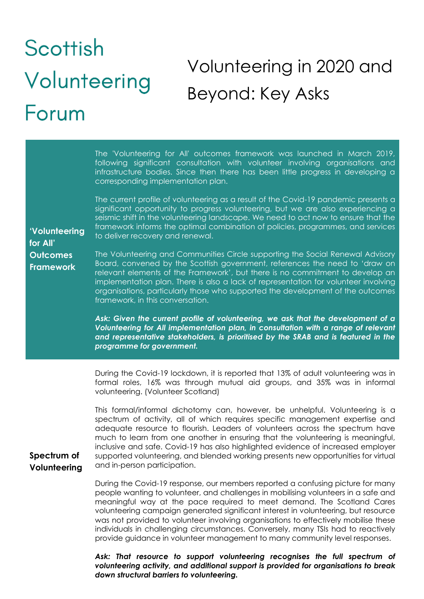## Scottish Volunteering in 2020 and Volunteering Beyond: Key Asks Forum

| 'Volunteering<br>for All'<br><b>Outcomes</b><br><b>Framework</b> | The 'Volunteering for All' outcomes framework was launched in March 2019,<br>following significant consultation with volunteer involving organisations and<br>infrastructure bodies. Since then there has been little progress in developing a<br>corresponding implementation plan.<br>The current profile of volunteering as a result of the Covid-19 pandemic presents a<br>significant opportunity to progress volunteering, but we are also experiencing a<br>seismic shift in the volunteering landscape. We need to act now to ensure that the<br>framework informs the optimal combination of policies, programmes, and services<br>to deliver recovery and renewal.<br>The Volunteering and Communities Circle supporting the Social Renewal Advisory<br>Board, convened by the Scottish government, references the need to 'draw on<br>relevant elements of the Framework', but there is no commitment to develop an<br>implementation plan. There is also a lack of representation for volunteer involving<br>organisations, particularly those who supported the development of the outcomes<br>framework, in this conversation.<br>Ask: Given the current profile of volunteering, we ask that the development of a<br>Volunteering for All implementation plan, in consultation with a range of relevant<br>and representative stakeholders, is prioritised by the SRAB and is featured in the<br>programme for government. |
|------------------------------------------------------------------|-------------------------------------------------------------------------------------------------------------------------------------------------------------------------------------------------------------------------------------------------------------------------------------------------------------------------------------------------------------------------------------------------------------------------------------------------------------------------------------------------------------------------------------------------------------------------------------------------------------------------------------------------------------------------------------------------------------------------------------------------------------------------------------------------------------------------------------------------------------------------------------------------------------------------------------------------------------------------------------------------------------------------------------------------------------------------------------------------------------------------------------------------------------------------------------------------------------------------------------------------------------------------------------------------------------------------------------------------------------------------------------------------------------------------------------------|
| Spectrum of<br>Volunteering                                      | During the Covid-19 lockdown, it is reported that 13% of adult volunteering was in<br>formal roles, 16% was through mutual aid groups, and 35% was in informal<br>volunteering. (Volunteer Scotland)                                                                                                                                                                                                                                                                                                                                                                                                                                                                                                                                                                                                                                                                                                                                                                                                                                                                                                                                                                                                                                                                                                                                                                                                                                      |
|                                                                  | This formal/informal dichotomy can, however, be unhelpful. Volunteering is a<br>spectrum of activity, all of which requires specific management expertise and<br>adequate resource to flourish. Leaders of volunteers across the spectrum have<br>much to learn from one another in ensuring that the volunteering is meaningful,<br>inclusive and safe. Covid-19 has also highlighted evidence of increased employer<br>supported volunteering, and blended working presents new opportunities for virtual<br>and in-person participation.                                                                                                                                                                                                                                                                                                                                                                                                                                                                                                                                                                                                                                                                                                                                                                                                                                                                                               |
|                                                                  | During the Covid-19 response, our members reported a confusing picture for many<br>people wanting to volunteer, and challenges in mobilising volunteers in a safe and<br>meaningful way at the pace required to meet demand. The Scotland Cares<br>volunteering campaign generated significant interest in volunteering, but resource<br>was not provided to volunteer involving organisations to effectively mobilise these                                                                                                                                                                                                                                                                                                                                                                                                                                                                                                                                                                                                                                                                                                                                                                                                                                                                                                                                                                                                              |

provide guidance in volunteer management to many community level responses. Ask: That resource to support volunteering recognises the full spectrum of *volunteering activity, and additional support is provided for organisations to break down structural barriers to volunteering.*

individuals in challenging circumstances. Conversely, many TSIs had to reactively